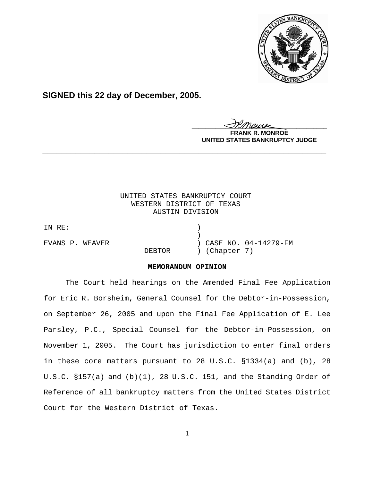

**SIGNED this 22 day of December, 2005.**

<u>IKThemse</u>

**MONROE UNITED STATES BANKRUPTCY JUDGE**

# UNITED STATES BANKRUPTCY COURT WESTERN DISTRICT OF TEXAS AUSTIN DIVISION

**\_\_\_\_\_\_\_\_\_\_\_\_\_\_\_\_\_\_\_\_\_\_\_\_\_\_\_\_\_\_\_\_\_\_\_\_\_\_\_\_\_\_\_\_\_\_\_\_\_\_\_\_\_\_\_\_\_\_\_\_**

IN RE:  $)$ 

EVANS P. WEAVER (2008) (2008) 2ASE NO. 04-14279-FM DEBTOR ) (Chapter 7)

## **MEMORANDUM OPINION**

The Court held hearings on the Amended Final Fee Application for Eric R. Borsheim, General Counsel for the Debtor-in-Possession, on September 26, 2005 and upon the Final Fee Application of E. Lee Parsley, P.C., Special Counsel for the Debtor-in-Possession, on November 1, 2005. The Court has jurisdiction to enter final orders in these core matters pursuant to 28 U.S.C. §1334(a) and (b), 28 U.S.C. §157(a) and (b)(1), 28 U.S.C. 151, and the Standing Order of Reference of all bankruptcy matters from the United States District Court for the Western District of Texas.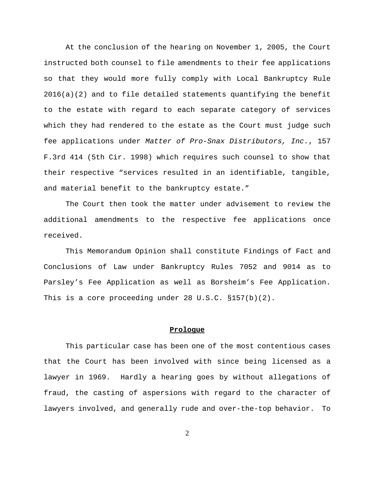At the conclusion of the hearing on November 1, 2005, the Court instructed both counsel to file amendments to their fee applications so that they would more fully comply with Local Bankruptcy Rule  $2016(a)(2)$  and to file detailed statements quantifying the benefit to the estate with regard to each separate category of services which they had rendered to the estate as the Court must judge such fee applications under *Matter of Pro-Snax Distributors, Inc.*, 157 F.3rd 414 (5th Cir. 1998) which requires such counsel to show that their respective "services resulted in an identifiable, tangible, and material benefit to the bankruptcy estate."

The Court then took the matter under advisement to review the additional amendments to the respective fee applications once received.

This Memorandum Opinion shall constitute Findings of Fact and Conclusions of Law under Bankruptcy Rules 7052 and 9014 as to Parsley's Fee Application as well as Borsheim's Fee Application. This is a core proceeding under 28 U.S.C. §157(b)(2).

### **Prologue**

This particular case has been one of the most contentious cases that the Court has been involved with since being licensed as a lawyer in 1969. Hardly a hearing goes by without allegations of fraud, the casting of aspersions with regard to the character of lawyers involved, and generally rude and over-the-top behavior. To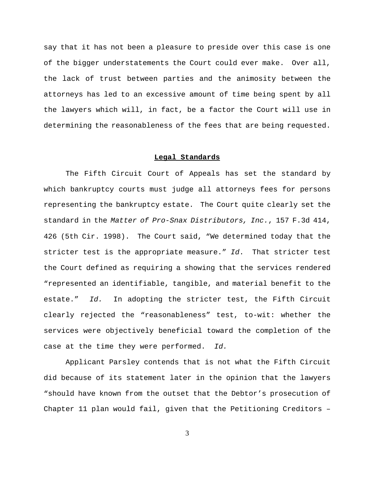say that it has not been a pleasure to preside over this case is one of the bigger understatements the Court could ever make. Over all, the lack of trust between parties and the animosity between the attorneys has led to an excessive amount of time being spent by all the lawyers which will, in fact, be a factor the Court will use in determining the reasonableness of the fees that are being requested.

#### **Legal Standards**

The Fifth Circuit Court of Appeals has set the standard by which bankruptcy courts must judge all attorneys fees for persons representing the bankruptcy estate. The Court quite clearly set the standard in the *Matter of Pro-Snax Distributors, Inc.*, 157 F.3d 414, 426 (5th Cir. 1998). The Court said, "We determined today that the stricter test is the appropriate measure." *Id*. That stricter test the Court defined as requiring a showing that the services rendered "represented an identifiable, tangible, and material benefit to the estate." *Id.* In adopting the stricter test, the Fifth Circuit clearly rejected the "reasonableness" test, to-wit: whether the services were objectively beneficial toward the completion of the case at the time they were performed. *Id.*

Applicant Parsley contends that is not what the Fifth Circuit did because of its statement later in the opinion that the lawyers "should have known from the outset that the Debtor's prosecution of Chapter 11 plan would fail, given that the Petitioning Creditors –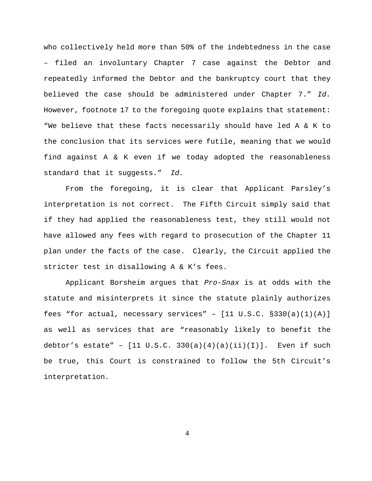who collectively held more than 50% of the indebtedness in the case – filed an involuntary Chapter 7 case against the Debtor and repeatedly informed the Debtor and the bankruptcy court that they believed the case should be administered under Chapter 7." *Id.* However, footnote 17 to the foregoing quote explains that statement: "We believe that these facts necessarily should have led A & K to the conclusion that its services were futile, meaning that we would find against A & K even if we today adopted the reasonableness standard that it suggests." *Id.*

From the foregoing, it is clear that Applicant Parsley's interpretation is not correct. The Fifth Circuit simply said that if they had applied the reasonableness test, they still would not have allowed any fees with regard to prosecution of the Chapter 11 plan under the facts of the case. Clearly, the Circuit applied the stricter test in disallowing A & K's fees.

Applicant Borsheim argues that *Pro-Snax* is at odds with the statute and misinterprets it since the statute plainly authorizes fees "for actual, necessary services" -  $[11 \text{ U.S.C. } §330(a)(1)(A)]$ as well as services that are "reasonably likely to benefit the debtor's estate" -  $[11 \text{ U.S.C. } 330(a)(4)(a)(ii)(I)].$  Even if such be true, this Court is constrained to follow the 5th Circuit's interpretation.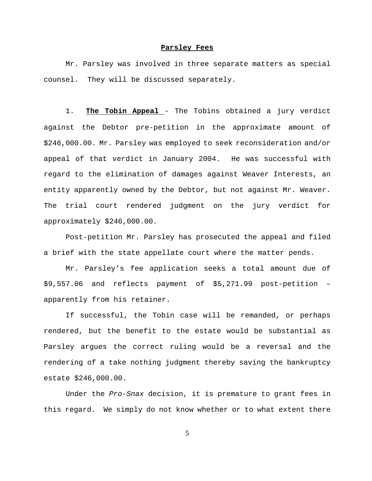#### **Parsley Fees**

Mr. Parsley was involved in three separate matters as special counsel. They will be discussed separately.

1. **The Tobin Appeal** - The Tobins obtained a jury verdict against the Debtor pre-petition in the approximate amount of \$246,000.00. Mr. Parsley was employed to seek reconsideration and/or appeal of that verdict in January 2004. He was successful with regard to the elimination of damages against Weaver Interests, an entity apparently owned by the Debtor, but not against Mr. Weaver. The trial court rendered judgment on the jury verdict for approximately \$246,000.00.

Post-petition Mr. Parsley has prosecuted the appeal and filed a brief with the state appellate court where the matter pends.

Mr. Parsley's fee application seeks a total amount due of \$9,557.06 and reflects payment of \$5,271.99 post-petition – apparently from his retainer.

If successful, the Tobin case will be remanded, or perhaps rendered, but the benefit to the estate would be substantial as Parsley argues the correct ruling would be a reversal and the rendering of a take nothing judgment thereby saving the bankruptcy estate \$246,000.00.

Under the *Pro-Snax* decision, it is premature to grant fees in this regard. We simply do not know whether or to what extent there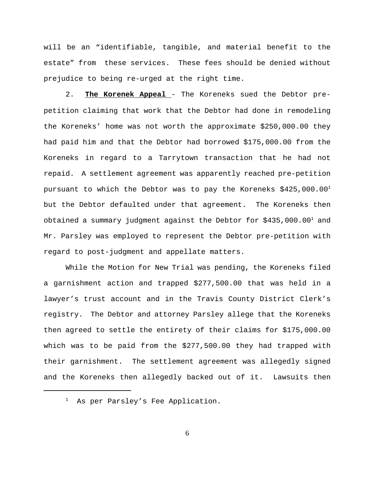will be an "identifiable, tangible, and material benefit to the estate" from these services. These fees should be denied without prejudice to being re-urged at the right time.

2. **The Korenek Appeal** - The Koreneks sued the Debtor prepetition claiming that work that the Debtor had done in remodeling the Koreneks' home was not worth the approximate \$250,000.00 they had paid him and that the Debtor had borrowed \$175,000.00 from the Koreneks in regard to a Tarrytown transaction that he had not repaid. A settlement agreement was apparently reached pre-petition pursuant to which the Debtor was to pay the Koreneks  $$425,000.001$ but the Debtor defaulted under that agreement. The Koreneks then obtained a summary judgment against the Debtor for  $$435,000.00<sup>1</sup>$  and Mr. Parsley was employed to represent the Debtor pre-petition with regard to post-judgment and appellate matters.

While the Motion for New Trial was pending, the Koreneks filed a garnishment action and trapped \$277,500.00 that was held in a lawyer's trust account and in the Travis County District Clerk's registry. The Debtor and attorney Parsley allege that the Koreneks then agreed to settle the entirety of their claims for \$175,000.00 which was to be paid from the \$277,500.00 they had trapped with their garnishment. The settlement agreement was allegedly signed and the Koreneks then allegedly backed out of it. Lawsuits then

<sup>&</sup>lt;sup>1</sup> As per Parsley's Fee Application.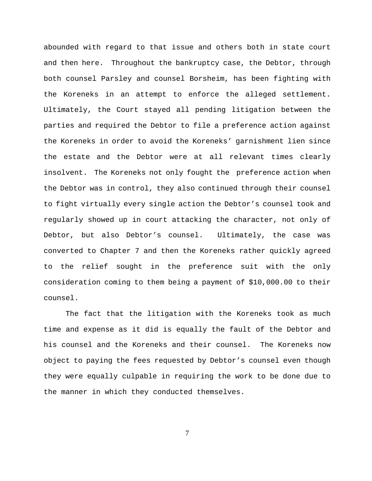abounded with regard to that issue and others both in state court and then here. Throughout the bankruptcy case, the Debtor, through both counsel Parsley and counsel Borsheim, has been fighting with the Koreneks in an attempt to enforce the alleged settlement. Ultimately, the Court stayed all pending litigation between the parties and required the Debtor to file a preference action against the Koreneks in order to avoid the Koreneks' garnishment lien since the estate and the Debtor were at all relevant times clearly insolvent. The Koreneks not only fought the preference action when the Debtor was in control, they also continued through their counsel to fight virtually every single action the Debtor's counsel took and regularly showed up in court attacking the character, not only of Debtor, but also Debtor's counsel. Ultimately, the case was converted to Chapter 7 and then the Koreneks rather quickly agreed to the relief sought in the preference suit with the only consideration coming to them being a payment of \$10,000.00 to their counsel.

The fact that the litigation with the Koreneks took as much time and expense as it did is equally the fault of the Debtor and his counsel and the Koreneks and their counsel. The Koreneks now object to paying the fees requested by Debtor's counsel even though they were equally culpable in requiring the work to be done due to the manner in which they conducted themselves.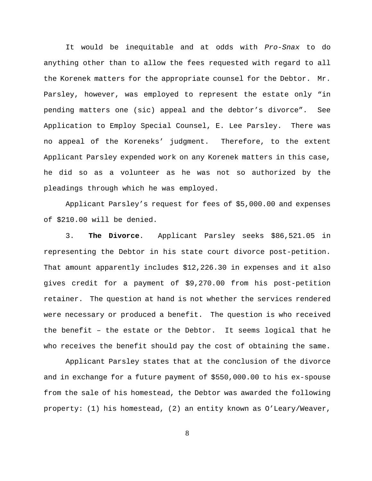It would be inequitable and at odds with *Pro-Snax* to do anything other than to allow the fees requested with regard to all the Korenek matters for the appropriate counsel for the Debtor. Mr. Parsley, however, was employed to represent the estate only "in pending matters one (sic) appeal and the debtor's divorce". See Application to Employ Special Counsel, E. Lee Parsley. There was no appeal of the Koreneks' judgment. Therefore, to the extent Applicant Parsley expended work on any Korenek matters in this case, he did so as a volunteer as he was not so authorized by the pleadings through which he was employed.

Applicant Parsley's request for fees of \$5,000.00 and expenses of \$210.00 will be denied.

3. **The Divorce**. Applicant Parsley seeks \$86,521.05 in representing the Debtor in his state court divorce post-petition. That amount apparently includes \$12,226.30 in expenses and it also gives credit for a payment of \$9,270.00 from his post-petition retainer. The question at hand is not whether the services rendered were necessary or produced a benefit. The question is who received the benefit – the estate or the Debtor. It seems logical that he who receives the benefit should pay the cost of obtaining the same.

Applicant Parsley states that at the conclusion of the divorce and in exchange for a future payment of \$550,000.00 to his ex-spouse from the sale of his homestead, the Debtor was awarded the following property: (1) his homestead, (2) an entity known as O'Leary/Weaver,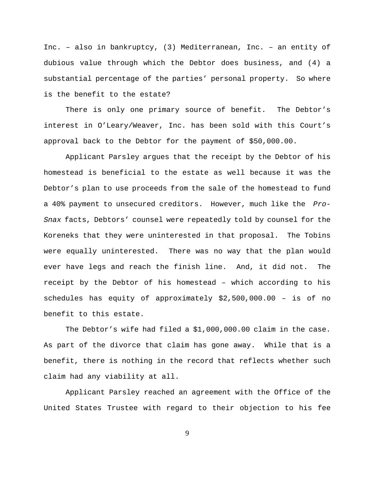Inc. – also in bankruptcy, (3) Mediterranean, Inc. – an entity of dubious value through which the Debtor does business, and (4) a substantial percentage of the parties' personal property. So where is the benefit to the estate?

There is only one primary source of benefit. The Debtor's interest in O'Leary/Weaver, Inc. has been sold with this Court's approval back to the Debtor for the payment of \$50,000.00.

Applicant Parsley argues that the receipt by the Debtor of his homestead is beneficial to the estate as well because it was the Debtor's plan to use proceeds from the sale of the homestead to fund a 40% payment to unsecured creditors. However, much like the *Pro-Snax* facts, Debtors' counsel were repeatedly told by counsel for the Koreneks that they were uninterested in that proposal. The Tobins were equally uninterested. There was no way that the plan would ever have legs and reach the finish line. And, it did not. The receipt by the Debtor of his homestead – which according to his schedules has equity of approximately \$2,500,000.00 – is of no benefit to this estate.

The Debtor's wife had filed a \$1,000,000.00 claim in the case. As part of the divorce that claim has gone away. While that is a benefit, there is nothing in the record that reflects whether such claim had any viability at all.

Applicant Parsley reached an agreement with the Office of the United States Trustee with regard to their objection to his fee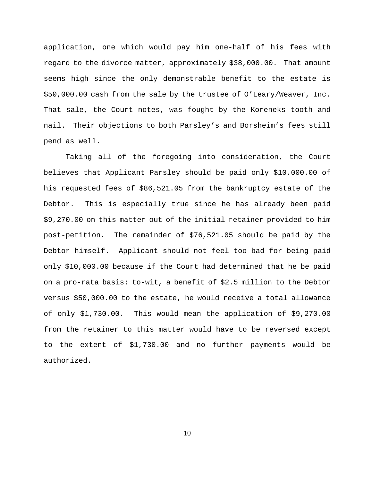application, one which would pay him one-half of his fees with regard to the divorce matter, approximately \$38,000.00. That amount seems high since the only demonstrable benefit to the estate is \$50,000.00 cash from the sale by the trustee of O'Leary/Weaver, Inc. That sale, the Court notes, was fought by the Koreneks tooth and nail. Their objections to both Parsley's and Borsheim's fees still pend as well.

Taking all of the foregoing into consideration, the Court believes that Applicant Parsley should be paid only \$10,000.00 of his requested fees of \$86,521.05 from the bankruptcy estate of the Debtor. This is especially true since he has already been paid \$9,270.00 on this matter out of the initial retainer provided to him post-petition. The remainder of \$76,521.05 should be paid by the Debtor himself. Applicant should not feel too bad for being paid only \$10,000.00 because if the Court had determined that he be paid on a pro-rata basis: to-wit, a benefit of \$2.5 million to the Debtor versus \$50,000.00 to the estate, he would receive a total allowance of only \$1,730.00. This would mean the application of \$9,270.00 from the retainer to this matter would have to be reversed except to the extent of \$1,730.00 and no further payments would be authorized.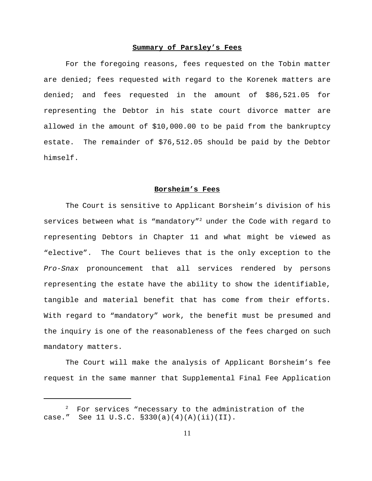#### **Summary of Parsley's Fees**

For the foregoing reasons, fees requested on the Tobin matter are denied; fees requested with regard to the Korenek matters are denied; and fees requested in the amount of \$86,521.05 for representing the Debtor in his state court divorce matter are allowed in the amount of \$10,000.00 to be paid from the bankruptcy estate. The remainder of \$76,512.05 should be paid by the Debtor himself.

#### **Borsheim's Fees**

The Court is sensitive to Applicant Borsheim's division of his services between what is "mandatory"<sup>2</sup> under the Code with regard to representing Debtors in Chapter 11 and what might be viewed as "elective". The Court believes that is the only exception to the *Pro-Snax* pronouncement that all services rendered by persons representing the estate have the ability to show the identifiable, tangible and material benefit that has come from their efforts. With regard to "mandatory" work, the benefit must be presumed and the inquiry is one of the reasonableness of the fees charged on such mandatory matters.

The Court will make the analysis of Applicant Borsheim's fee request in the same manner that Supplemental Final Fee Application

For services "necessary to the administration of the case." See 11 U.S.C. §330(a)(4)(A)(ii)(II).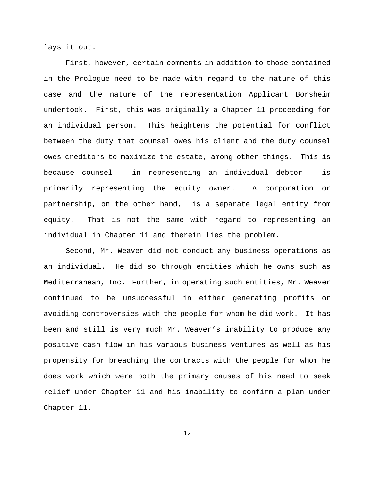lays it out.

First, however, certain comments in addition to those contained in the Prologue need to be made with regard to the nature of this case and the nature of the representation Applicant Borsheim undertook. First, this was originally a Chapter 11 proceeding for an individual person. This heightens the potential for conflict between the duty that counsel owes his client and the duty counsel owes creditors to maximize the estate, among other things. This is because counsel – in representing an individual debtor – is primarily representing the equity owner. A corporation or partnership, on the other hand, is a separate legal entity from equity. That is not the same with regard to representing an individual in Chapter 11 and therein lies the problem.

Second, Mr. Weaver did not conduct any business operations as an individual. He did so through entities which he owns such as Mediterranean, Inc. Further, in operating such entities, Mr. Weaver continued to be unsuccessful in either generating profits or avoiding controversies with the people for whom he did work. It has been and still is very much Mr. Weaver's inability to produce any positive cash flow in his various business ventures as well as his propensity for breaching the contracts with the people for whom he does work which were both the primary causes of his need to seek relief under Chapter 11 and his inability to confirm a plan under Chapter 11.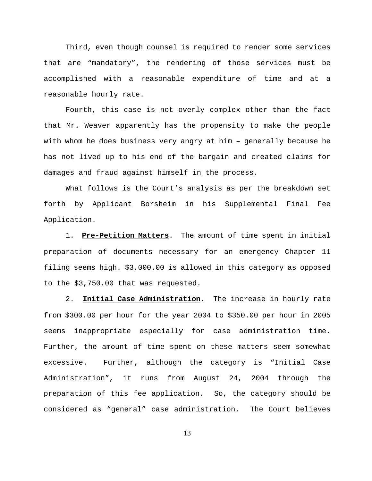Third, even though counsel is required to render some services that are "mandatory", the rendering of those services must be accomplished with a reasonable expenditure of time and at a reasonable hourly rate.

Fourth, this case is not overly complex other than the fact that Mr. Weaver apparently has the propensity to make the people with whom he does business very angry at him – generally because he has not lived up to his end of the bargain and created claims for damages and fraud against himself in the process.

What follows is the Court's analysis as per the breakdown set forth by Applicant Borsheim in his Supplemental Final Fee Application.

1. **Pre-Petition Matters**. The amount of time spent in initial preparation of documents necessary for an emergency Chapter 11 filing seems high. \$3,000.00 is allowed in this category as opposed to the \$3,750.00 that was requested.

2. **Initial Case Administration**. The increase in hourly rate from \$300.00 per hour for the year 2004 to \$350.00 per hour in 2005 seems inappropriate especially for case administration time. Further, the amount of time spent on these matters seem somewhat excessive. Further, although the category is "Initial Case Administration", it runs from August 24, 2004 through the preparation of this fee application. So, the category should be considered as "general" case administration. The Court believes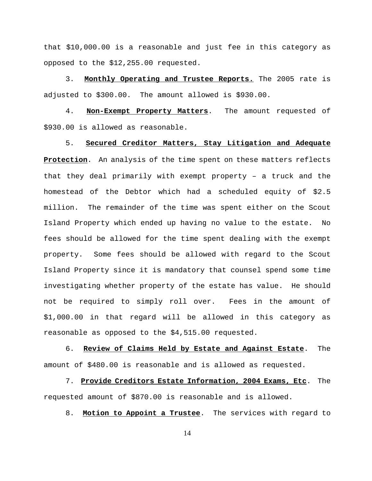that \$10,000.00 is a reasonable and just fee in this category as opposed to the \$12,255.00 requested.

3. **Monthly Operating and Trustee Reports.** The 2005 rate is adjusted to \$300.00. The amount allowed is \$930.00.

4. **Non-Exempt Property Matters**. The amount requested of \$930.00 is allowed as reasonable.

5. **Secured Creditor Matters, Stay Litigation and Adequate Protection**. An analysis of the time spent on these matters reflects that they deal primarily with exempt property – a truck and the homestead of the Debtor which had a scheduled equity of \$2.5 million. The remainder of the time was spent either on the Scout Island Property which ended up having no value to the estate. No fees should be allowed for the time spent dealing with the exempt property. Some fees should be allowed with regard to the Scout Island Property since it is mandatory that counsel spend some time investigating whether property of the estate has value. He should not be required to simply roll over. Fees in the amount of \$1,000.00 in that regard will be allowed in this category as reasonable as opposed to the \$4,515.00 requested.

6. **Review of Claims Held by Estate and Against Estate**. The amount of \$480.00 is reasonable and is allowed as requested.

7. **Provide Creditors Estate Information, 2004 Exams, Etc**. The requested amount of \$870.00 is reasonable and is allowed.

8. **Motion to Appoint a Trustee**. The services with regard to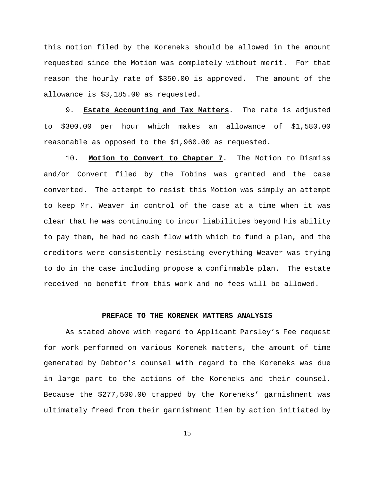this motion filed by the Koreneks should be allowed in the amount requested since the Motion was completely without merit. For that reason the hourly rate of \$350.00 is approved. The amount of the allowance is \$3,185.00 as requested.

9. **Estate Accounting and Tax Matters**. The rate is adjusted to \$300.00 per hour which makes an allowance of \$1,580.00 reasonable as opposed to the \$1,960.00 as requested.

10. **Motion to Convert to Chapter 7**. The Motion to Dismiss and/or Convert filed by the Tobins was granted and the case converted. The attempt to resist this Motion was simply an attempt to keep Mr. Weaver in control of the case at a time when it was clear that he was continuing to incur liabilities beyond his ability to pay them, he had no cash flow with which to fund a plan, and the creditors were consistently resisting everything Weaver was trying to do in the case including propose a confirmable plan. The estate received no benefit from this work and no fees will be allowed.

#### **PREFACE TO THE KORENEK MATTERS ANALYSIS**

As stated above with regard to Applicant Parsley's Fee request for work performed on various Korenek matters, the amount of time generated by Debtor's counsel with regard to the Koreneks was due in large part to the actions of the Koreneks and their counsel. Because the \$277,500.00 trapped by the Koreneks' garnishment was ultimately freed from their garnishment lien by action initiated by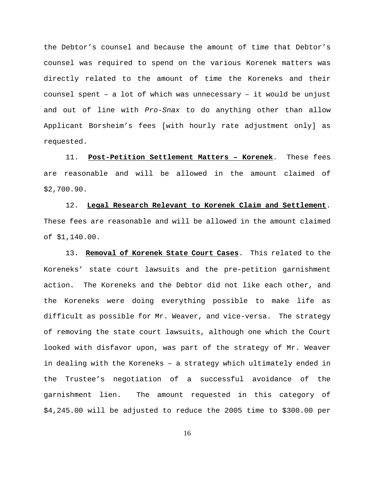the Debtor's counsel and because the amount of time that Debtor's counsel was required to spend on the various Korenek matters was directly related to the amount of time the Koreneks and their counsel spent – a lot of which was unnecessary – it would be unjust and out of line with *Pro-Snax* to do anything other than allow Applicant Borsheim's fees [with hourly rate adjustment only] as requested.

11. **Post-Petition Settlement Matters – Korenek**. These fees are reasonable and will be allowed in the amount claimed of \$2,700.90.

12. **Legal Research Relevant to Korenek Claim and Settlement**. These fees are reasonable and will be allowed in the amount claimed of \$1,140.00.

13. **Removal of Korenek State Court Cases**. This related to the Koreneks' state court lawsuits and the pre-petition garnishment action. The Koreneks and the Debtor did not like each other, and the Koreneks were doing everything possible to make life as difficult as possible for Mr. Weaver, and vice-versa. The strategy of removing the state court lawsuits, although one which the Court looked with disfavor upon, was part of the strategy of Mr. Weaver in dealing with the Koreneks – a strategy which ultimately ended in the Trustee's negotiation of a successful avoidance of the garnishment lien. The amount requested in this category of \$4,245.00 will be adjusted to reduce the 2005 time to \$300.00 per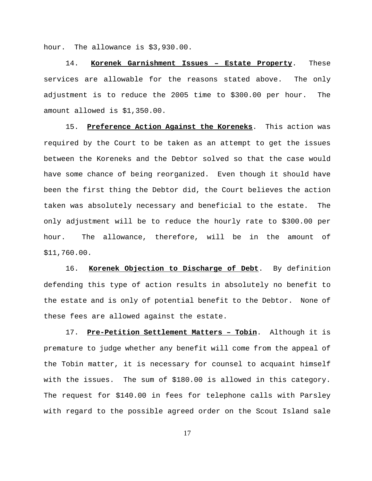hour. The allowance is \$3,930.00.

14. **Korenek Garnishment Issues – Estate Property**. These services are allowable for the reasons stated above. The only adjustment is to reduce the 2005 time to \$300.00 per hour. The amount allowed is \$1,350.00.

15. **Preference Action Against the Koreneks**. This action was required by the Court to be taken as an attempt to get the issues between the Koreneks and the Debtor solved so that the case would have some chance of being reorganized. Even though it should have been the first thing the Debtor did, the Court believes the action taken was absolutely necessary and beneficial to the estate. The only adjustment will be to reduce the hourly rate to \$300.00 per hour. The allowance, therefore, will be in the amount of \$11,760.00.

16. **Korenek Objection to Discharge of Debt**. By definition defending this type of action results in absolutely no benefit to the estate and is only of potential benefit to the Debtor. None of these fees are allowed against the estate.

17. **Pre-Petition Settlement Matters – Tobin**. Although it is premature to judge whether any benefit will come from the appeal of the Tobin matter, it is necessary for counsel to acquaint himself with the issues. The sum of \$180.00 is allowed in this category. The request for \$140.00 in fees for telephone calls with Parsley with regard to the possible agreed order on the Scout Island sale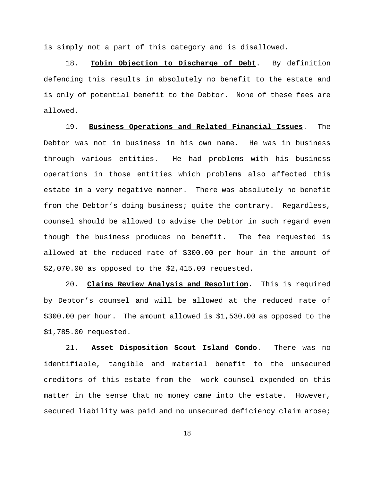is simply not a part of this category and is disallowed.

18. **Tobin Objection to Discharge of Debt**. By definition defending this results in absolutely no benefit to the estate and is only of potential benefit to the Debtor. None of these fees are allowed.

19. **Business Operations and Related Financial Issues**. The Debtor was not in business in his own name. He was in business through various entities. He had problems with his business operations in those entities which problems also affected this estate in a very negative manner. There was absolutely no benefit from the Debtor's doing business; quite the contrary. Regardless, counsel should be allowed to advise the Debtor in such regard even though the business produces no benefit. The fee requested is allowed at the reduced rate of \$300.00 per hour in the amount of \$2,070.00 as opposed to the \$2,415.00 requested.

20. **Claims Review Analysis and Resolution**. This is required by Debtor's counsel and will be allowed at the reduced rate of \$300.00 per hour. The amount allowed is \$1,530.00 as opposed to the \$1,785.00 requested.

21. **Asset Disposition Scout Island Condo**. There was no identifiable, tangible and material benefit to the unsecured creditors of this estate from the work counsel expended on this matter in the sense that no money came into the estate. However, secured liability was paid and no unsecured deficiency claim arose;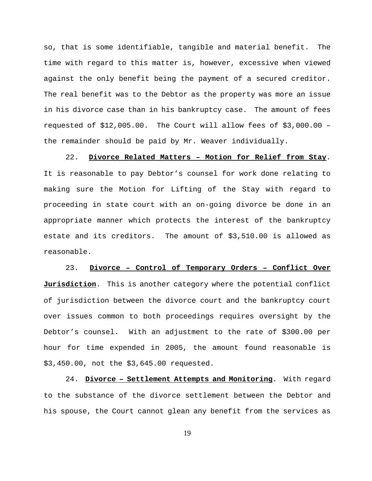so, that is some identifiable, tangible and material benefit. The time with regard to this matter is, however, excessive when viewed against the only benefit being the payment of a secured creditor. The real benefit was to the Debtor as the property was more an issue in his divorce case than in his bankruptcy case. The amount of fees requested of \$12,005.00. The Court will allow fees of \$3,000.00 – the remainder should be paid by Mr. Weaver individually.

22. **Divorce Related Matters – Motion for Relief from Stay**. It is reasonable to pay Debtor's counsel for work done relating to making sure the Motion for Lifting of the Stay with regard to proceeding in state court with an on-going divorce be done in an appropriate manner which protects the interest of the bankruptcy estate and its creditors. The amount of \$3,510.00 is allowed as reasonable.

23. **Divorce – Control of Temporary Orders – Conflict Over Jurisdiction**. This is another category where the potential conflict of jurisdiction between the divorce court and the bankruptcy court over issues common to both proceedings requires oversight by the Debtor's counsel. With an adjustment to the rate of \$300.00 per hour for time expended in 2005, the amount found reasonable is \$3,450.00, not the \$3,645.00 requested.

24. **Divorce – Settlement Attempts and Monitoring**. With regard to the substance of the divorce settlement between the Debtor and his spouse, the Court cannot glean any benefit from the services as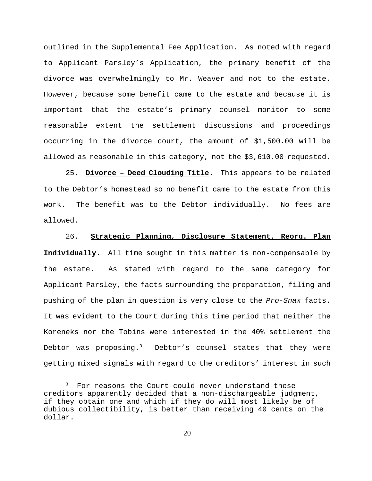outlined in the Supplemental Fee Application. As noted with regard to Applicant Parsley's Application, the primary benefit of the divorce was overwhelmingly to Mr. Weaver and not to the estate. However, because some benefit came to the estate and because it is important that the estate's primary counsel monitor to some reasonable extent the settlement discussions and proceedings occurring in the divorce court, the amount of \$1,500.00 will be allowed as reasonable in this category, not the \$3,610.00 requested.

25. **Divorce – Deed Clouding Title**. This appears to be related to the Debtor's homestead so no benefit came to the estate from this work. The benefit was to the Debtor individually. No fees are allowed.

26. **Strategic Planning, Disclosure Statement, Reorg. Plan Individually**. All time sought in this matter is non-compensable by the estate. As stated with regard to the same category for Applicant Parsley, the facts surrounding the preparation, filing and pushing of the plan in question is very close to the *Pro-Snax* facts. It was evident to the Court during this time period that neither the Koreneks nor the Tobins were interested in the 40% settlement the Debtor was proposing.<sup>3</sup> Debtor's counsel states that they were getting mixed signals with regard to the creditors' interest in such

<sup>&</sup>lt;sup>3</sup> For reasons the Court could never understand these creditors apparently decided that a non-dischargeable judgment, if they obtain one and which if they do will most likely be of dubious collectibility, is better than receiving 40 cents on the dollar.